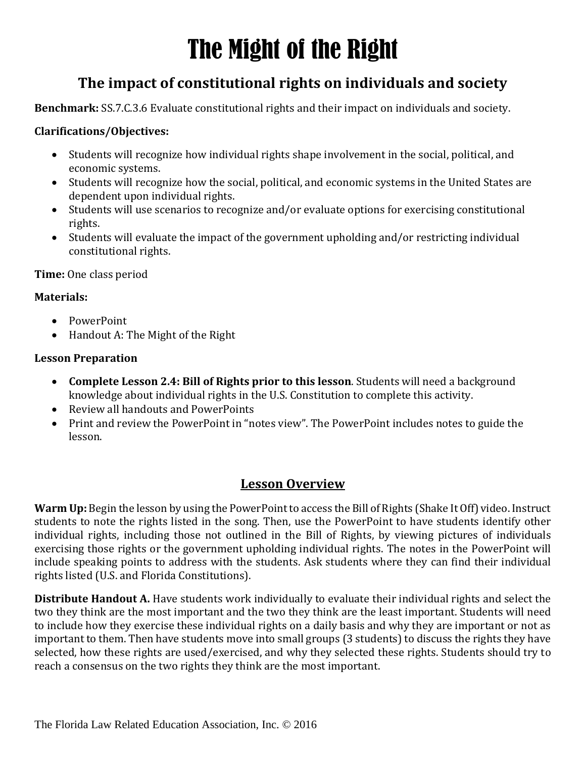# The Might of the Right

### **The impact of constitutional rights on individuals and society**

**Benchmark:** SS.7.C.3.6 Evaluate constitutional rights and their impact on individuals and society.

#### **Clarifications/Objectives:**

- Students will recognize how individual rights shape involvement in the social, political, and economic systems.
- Students will recognize how the social, political, and economic systems in the United States are dependent upon individual rights.
- Students will use scenarios to recognize and/or evaluate options for exercising constitutional rights.
- Students will evaluate the impact of the government upholding and/or restricting individual constitutional rights.

**Time:** One class period

#### **Materials:**

- PowerPoint
- Handout A: The Might of the Right

#### **Lesson Preparation**

- **Complete Lesson 2.4: Bill of Rights prior to this lesson**. Students will need a background knowledge about individual rights in the U.S. Constitution to complete this activity.
- Review all handouts and PowerPoints
- Print and review the PowerPoint in "notes view". The PowerPoint includes notes to guide the lesson.

#### **Lesson Overview**

**Warm Up:** Begin the lesson by using the PowerPoint to access the Bill of Rights (Shake It Off) video. Instruct students to note the rights listed in the song. Then, use the PowerPoint to have students identify other individual rights, including those not outlined in the Bill of Rights, by viewing pictures of individuals exercising those rights or the government upholding individual rights. The notes in the PowerPoint will include speaking points to address with the students. Ask students where they can find their individual rights listed (U.S. and Florida Constitutions).

**Distribute Handout A.** Have students work individually to evaluate their individual rights and select the two they think are the most important and the two they think are the least important. Students will need to include how they exercise these individual rights on a daily basis and why they are important or not as important to them. Then have students move into small groups (3 students) to discuss the rights they have selected, how these rights are used/exercised, and why they selected these rights. Students should try to reach a consensus on the two rights they think are the most important.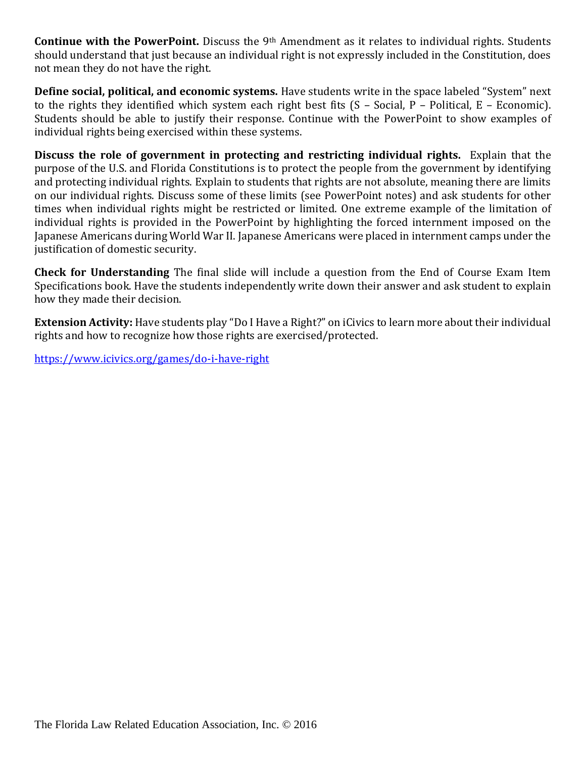**Continue with the PowerPoint.** Discuss the 9th Amendment as it relates to individual rights. Students should understand that just because an individual right is not expressly included in the Constitution, does not mean they do not have the right.

**Define social, political, and economic systems.** Have students write in the space labeled "System" next to the rights they identified which system each right best fits (S – Social, P – Political, E – Economic). Students should be able to justify their response. Continue with the PowerPoint to show examples of individual rights being exercised within these systems.

**Discuss the role of government in protecting and restricting individual rights.** Explain that the purpose of the U.S. and Florida Constitutions is to protect the people from the government by identifying and protecting individual rights. Explain to students that rights are not absolute, meaning there are limits on our individual rights. Discuss some of these limits (see PowerPoint notes) and ask students for other times when individual rights might be restricted or limited. One extreme example of the limitation of individual rights is provided in the PowerPoint by highlighting the forced internment imposed on the Japanese Americans during World War II. Japanese Americans were placed in internment camps under the justification of domestic security.

**Check for Understanding** The final slide will include a question from the End of Course Exam Item Specifications book. Have the students independently write down their answer and ask student to explain how they made their decision.

**Extension Activity:** Have students play "Do I Have a Right?" on iCivics to learn more about their individual rights and how to recognize how those rights are exercised/protected.

<https://www.icivics.org/games/do-i-have-right>